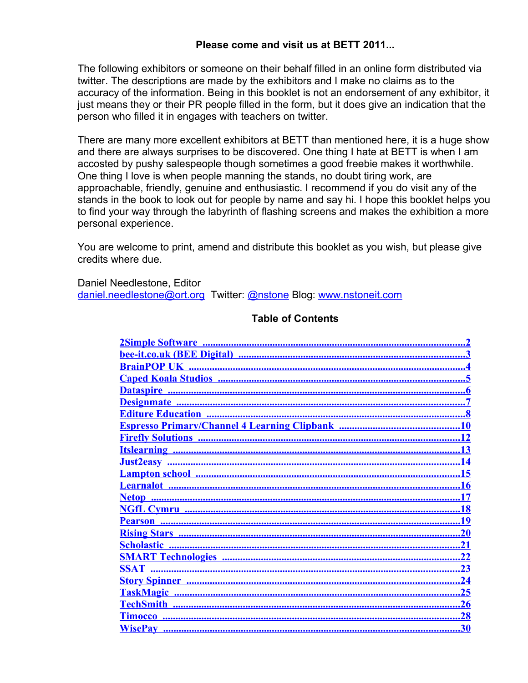#### **Please come and visit us at BETT 2011...**

The following exhibitors or someone on their behalf filled in an online form distributed via twitter. The descriptions are made by the exhibitors and I make no claims as to the accuracy of the information. Being in this booklet is not an endorsement of any exhibitor, it just means they or their PR people filled in the form, but it does give an indication that the person who filled it in engages with teachers on twitter.

There are many more excellent exhibitors at BETT than mentioned here, it is a huge show and there are always surprises to be discovered. One thing I hate at BETT is when I am accosted by pushy salespeople though sometimes a good freebie makes it worthwhile. One thing I love is when people manning the stands, no doubt tiring work, are approachable, friendly, genuine and enthusiastic. I recommend if you do visit any of the stands in the book to look out for people by name and say hi. I hope this booklet helps you to find your way through the labyrinth of flashing screens and makes the exhibition a more personal experience.

You are welcome to print, amend and distribute this booklet as you wish, but please give credits where due.

Daniel Needlestone, Editor [daniel.needlestone@ort.org](mailto:daniel.needlestone@ort.org) Twitter: [@nstone](http://twitter.com/nstone) Blog: [www.nstoneit.com](http://nstoneit.com/)

#### **Table of Contents**

| <b>Learnalot</b>                                       |
|--------------------------------------------------------|
|                                                        |
| <u>NGfL Cymru ……………………………………………………………………………………………</u>  |
|                                                        |
|                                                        |
| <u>21</u>                                              |
|                                                        |
| SSA <u>T ……………………………………………………………………………………………</u><br>23 |
|                                                        |
| 25                                                     |
| 26                                                     |
| <b>Timocco</b>                                         |
| <b>WisePay</b>                                         |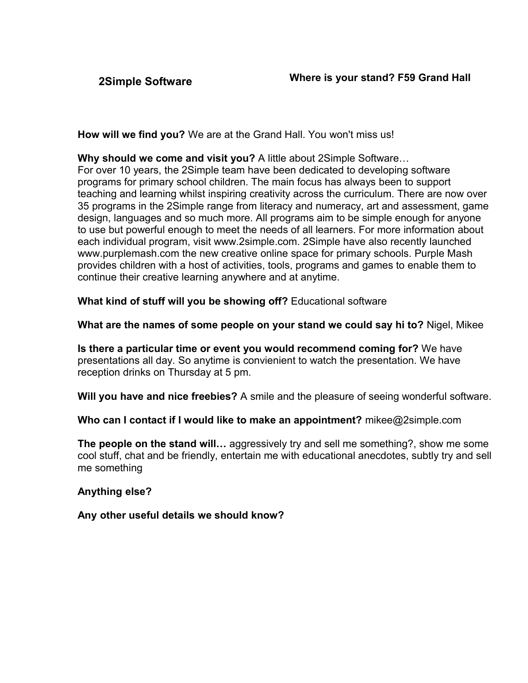<span id="page-1-0"></span>

**How will we find you?** We are at the Grand Hall. You won't miss us!

**Why should we come and visit you?** A little about 2Simple Software… For over 10 years, the 2Simple team have been dedicated to developing software programs for primary school children. The main focus has always been to support teaching and learning whilst inspiring creativity across the curriculum. There are now over 35 programs in the 2Simple range from literacy and numeracy, art and assessment, game design, languages and so much more. All programs aim to be simple enough for anyone to use but powerful enough to meet the needs of all learners. For more information about each individual program, visit www.2simple.com. 2Simple have also recently launched www.purplemash.com the new creative online space for primary schools. Purple Mash provides children with a host of activities, tools, programs and games to enable them to continue their creative learning anywhere and at anytime.

**What kind of stuff will you be showing off?** Educational software

**What are the names of some people on your stand we could say hi to?** Nigel, Mikee

**Is there a particular time or event you would recommend coming for?** We have presentations all day. So anytime is convienient to watch the presentation. We have reception drinks on Thursday at 5 pm.

**Will you have and nice freebies?** A smile and the pleasure of seeing wonderful software.

**Who can I contact if I would like to make an appointment?** mikee@2simple.com

**The people on the stand will…** aggressively try and sell me something?, show me some cool stuff, chat and be friendly, entertain me with educational anecdotes, subtly try and sell me something

# **Anything else?**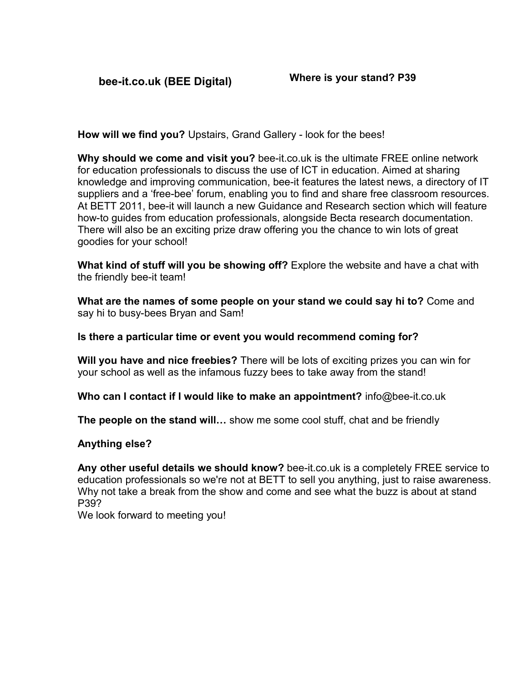<span id="page-2-0"></span>**bee-it.co.uk (BEE Digital) Where is your stand? P39**

**How will we find you?** Upstairs, Grand Gallery - look for the bees!

**Why should we come and visit you?** bee-it.co.uk is the ultimate FREE online network for education professionals to discuss the use of ICT in education. Aimed at sharing knowledge and improving communication, bee-it features the latest news, a directory of IT suppliers and a 'free-bee' forum, enabling you to find and share free classroom resources. At BETT 2011, bee-it will launch a new Guidance and Research section which will feature how-to guides from education professionals, alongside Becta research documentation. There will also be an exciting prize draw offering you the chance to win lots of great goodies for your school!

**What kind of stuff will you be showing off?** Explore the website and have a chat with the friendly bee-it team!

**What are the names of some people on your stand we could say hi to?** Come and say hi to busy-bees Bryan and Sam!

**Is there a particular time or event you would recommend coming for?**

**Will you have and nice freebies?** There will be lots of exciting prizes you can win for your school as well as the infamous fuzzy bees to take away from the stand!

**Who can I contact if I would like to make an appointment?** info@bee-it.co.uk

**The people on the stand will…** show me some cool stuff, chat and be friendly

# **Anything else?**

**Any other useful details we should know?** bee-it.co.uk is a completely FREE service to education professionals so we're not at BETT to sell you anything, just to raise awareness. Why not take a break from the show and come and see what the buzz is about at stand P39?

We look forward to meeting you!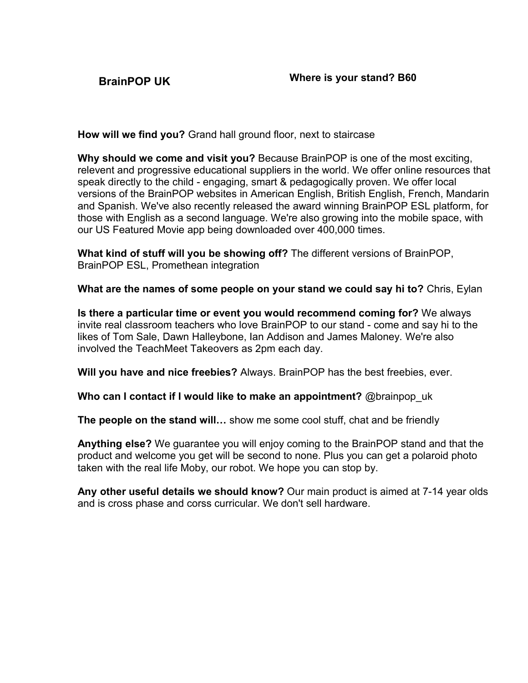<span id="page-3-0"></span>

**How will we find you?** Grand hall ground floor, next to staircase

**Why should we come and visit you?** Because BrainPOP is one of the most exciting, relevent and progressive educational suppliers in the world. We offer online resources that speak directly to the child - engaging, smart & pedagogically proven. We offer local versions of the BrainPOP websites in American English, British English, French, Mandarin and Spanish. We've also recently released the award winning BrainPOP ESL platform, for those with English as a second language. We're also growing into the mobile space, with our US Featured Movie app being downloaded over 400,000 times.

**What kind of stuff will you be showing off?** The different versions of BrainPOP, BrainPOP ESL, Promethean integration

**What are the names of some people on your stand we could say hi to?** Chris, Eylan

**Is there a particular time or event you would recommend coming for?** We always invite real classroom teachers who love BrainPOP to our stand - come and say hi to the likes of Tom Sale, Dawn Halleybone, Ian Addison and James Maloney. We're also involved the TeachMeet Takeovers as 2pm each day.

**Will you have and nice freebies?** Always. BrainPOP has the best freebies, ever.

**Who can I contact if I would like to make an appointment?** @brainpop\_uk

**The people on the stand will…** show me some cool stuff, chat and be friendly

**Anything else?** We guarantee you will enjoy coming to the BrainPOP stand and that the product and welcome you get will be second to none. Plus you can get a polaroid photo taken with the real life Moby, our robot. We hope you can stop by.

**Any other useful details we should know?** Our main product is aimed at 7-14 year olds and is cross phase and corss curricular. We don't sell hardware.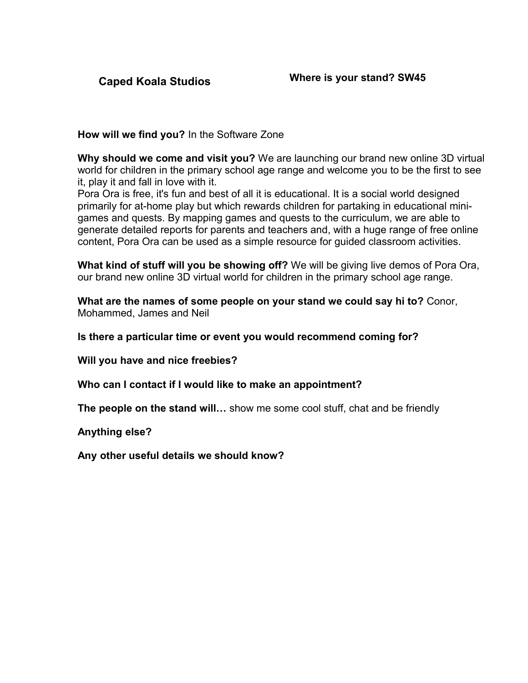<span id="page-4-0"></span>

**How will we find you?** In the Software Zone

**Why should we come and visit you?** We are launching our brand new online 3D virtual world for children in the primary school age range and welcome you to be the first to see it, play it and fall in love with it.

Pora Ora is free, it's fun and best of all it is educational. It is a social world designed primarily for at-home play but which rewards children for partaking in educational minigames and quests. By mapping games and quests to the curriculum, we are able to generate detailed reports for parents and teachers and, with a huge range of free online content, Pora Ora can be used as a simple resource for guided classroom activities.

**What kind of stuff will you be showing off?** We will be giving live demos of Pora Ora, our brand new online 3D virtual world for children in the primary school age range.

**What are the names of some people on your stand we could say hi to?** Conor, Mohammed, James and Neil

**Is there a particular time or event you would recommend coming for?**

**Will you have and nice freebies?**

**Who can I contact if I would like to make an appointment?**

**The people on the stand will…** show me some cool stuff, chat and be friendly

**Anything else?**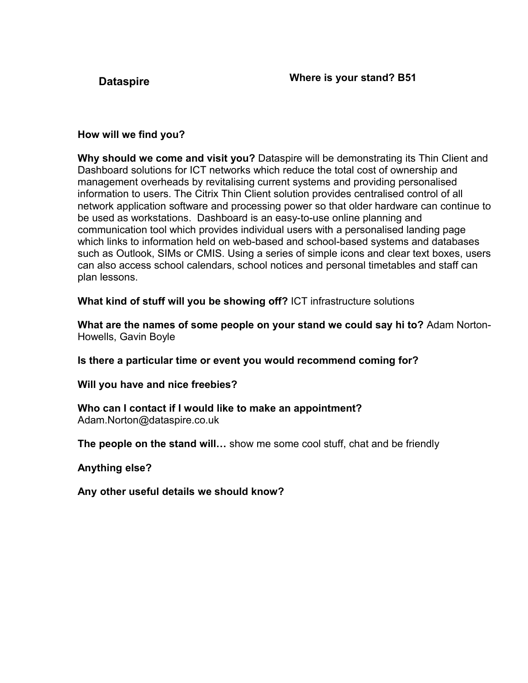<span id="page-5-0"></span>

# **How will we find you?**

**Why should we come and visit you?** Dataspire will be demonstrating its Thin Client and Dashboard solutions for ICT networks which reduce the total cost of ownership and management overheads by revitalising current systems and providing personalised information to users. The Citrix Thin Client solution provides centralised control of all network application software and processing power so that older hardware can continue to be used as workstations. Dashboard is an easy-to-use online planning and communication tool which provides individual users with a personalised landing page which links to information held on web-based and school-based systems and databases such as Outlook, SIMs or CMIS. Using a series of simple icons and clear text boxes, users can also access school calendars, school notices and personal timetables and staff can plan lessons.

**What kind of stuff will you be showing off?** ICT infrastructure solutions

**What are the names of some people on your stand we could say hi to?** Adam Norton-Howells, Gavin Boyle

**Is there a particular time or event you would recommend coming for?**

**Will you have and nice freebies?**

**Who can I contact if I would like to make an appointment?** Adam.Norton@dataspire.co.uk

**The people on the stand will…** show me some cool stuff, chat and be friendly

**Anything else?**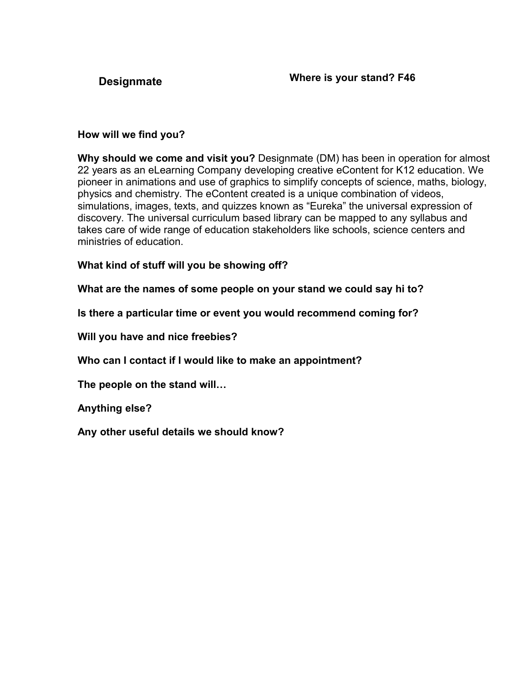<span id="page-6-0"></span>

# **How will we find you?**

**Why should we come and visit you?** Designmate (DM) has been in operation for almost 22 years as an eLearning Company developing creative eContent for K12 education. We pioneer in animations and use of graphics to simplify concepts of science, maths, biology, physics and chemistry. The eContent created is a unique combination of videos, simulations, images, texts, and quizzes known as "Eureka" the universal expression of discovery. The universal curriculum based library can be mapped to any syllabus and takes care of wide range of education stakeholders like schools, science centers and ministries of education.

# **What kind of stuff will you be showing off?**

**What are the names of some people on your stand we could say hi to?**

**Is there a particular time or event you would recommend coming for?**

**Will you have and nice freebies?**

**Who can I contact if I would like to make an appointment?**

**The people on the stand will…**

**Anything else?**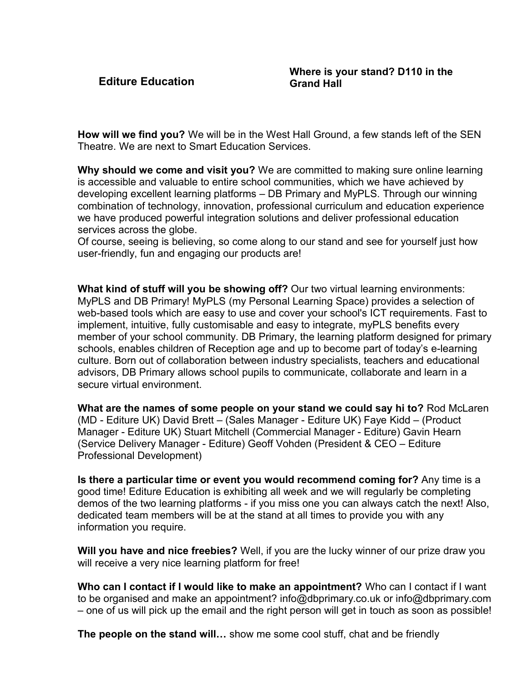<span id="page-7-0"></span>**Editure Education**

**How will we find you?** We will be in the West Hall Ground, a few stands left of the SEN Theatre. We are next to Smart Education Services.

**Why should we come and visit you?** We are committed to making sure online learning is accessible and valuable to entire school communities, which we have achieved by developing excellent learning platforms – DB Primary and MyPLS. Through our winning combination of technology, innovation, professional curriculum and education experience we have produced powerful integration solutions and deliver professional education services across the globe.

Of course, seeing is believing, so come along to our stand and see for yourself just how user-friendly, fun and engaging our products are!

**What kind of stuff will you be showing off?** Our two virtual learning environments: MyPLS and DB Primary! MyPLS (my Personal Learning Space) provides a selection of web-based tools which are easy to use and cover your school's ICT requirements. Fast to implement, intuitive, fully customisable and easy to integrate, myPLS benefits every member of your school community. DB Primary, the learning platform designed for primary schools, enables children of Reception age and up to become part of today's e-learning culture. Born out of collaboration between industry specialists, teachers and educational advisors, DB Primary allows school pupils to communicate, collaborate and learn in a secure virtual environment.

**What are the names of some people on your stand we could say hi to?** Rod McLaren (MD - Editure UK) David Brett – (Sales Manager - Editure UK) Faye Kidd – (Product Manager - Editure UK) Stuart Mitchell (Commercial Manager - Editure) Gavin Hearn (Service Delivery Manager - Editure) Geoff Vohden (President & CEO – Editure Professional Development)

**Is there a particular time or event you would recommend coming for?** Any time is a good time! Editure Education is exhibiting all week and we will regularly be completing demos of the two learning platforms - if you miss one you can always catch the next! Also, dedicated team members will be at the stand at all times to provide you with any information you require.

**Will you have and nice freebies?** Well, if you are the lucky winner of our prize draw you will receive a very nice learning platform for free!

**Who can I contact if I would like to make an appointment?** Who can I contact if I want to be organised and make an appointment? info@dbprimary.co.uk or info@dbprimary.com – one of us will pick up the email and the right person will get in touch as soon as possible!

**The people on the stand will…** show me some cool stuff, chat and be friendly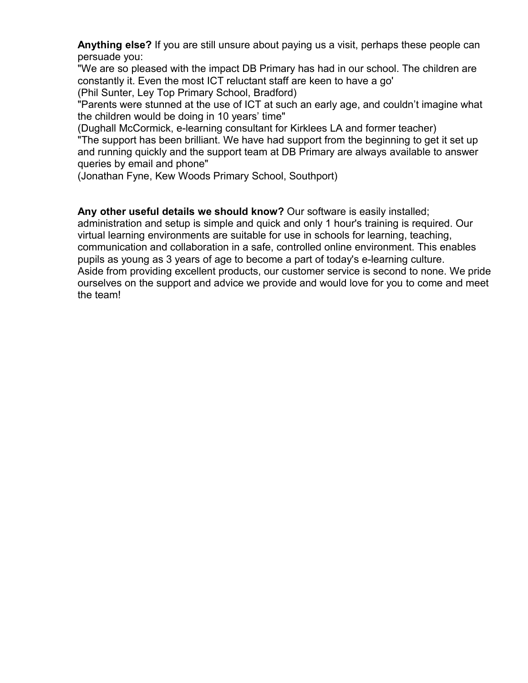**Anything else?** If you are still unsure about paying us a visit, perhaps these people can persuade you:

"We are so pleased with the impact DB Primary has had in our school. The children are constantly it. Even the most ICT reluctant staff are keen to have a go'

(Phil Sunter, Ley Top Primary School, Bradford)

"Parents were stunned at the use of ICT at such an early age, and couldn't imagine what the children would be doing in 10 years' time"

(Dughall McCormick, e-learning consultant for Kirklees LA and former teacher) "The support has been brilliant. We have had support from the beginning to get it set up and running quickly and the support team at DB Primary are always available to answer queries by email and phone"

(Jonathan Fyne, Kew Woods Primary School, Southport)

#### **Any other useful details we should know?** Our software is easily installed;

administration and setup is simple and quick and only 1 hour's training is required. Our virtual learning environments are suitable for use in schools for learning, teaching, communication and collaboration in a safe, controlled online environment. This enables pupils as young as 3 years of age to become a part of today's e-learning culture. Aside from providing excellent products, our customer service is second to none. We pride ourselves on the support and advice we provide and would love for you to come and meet the team!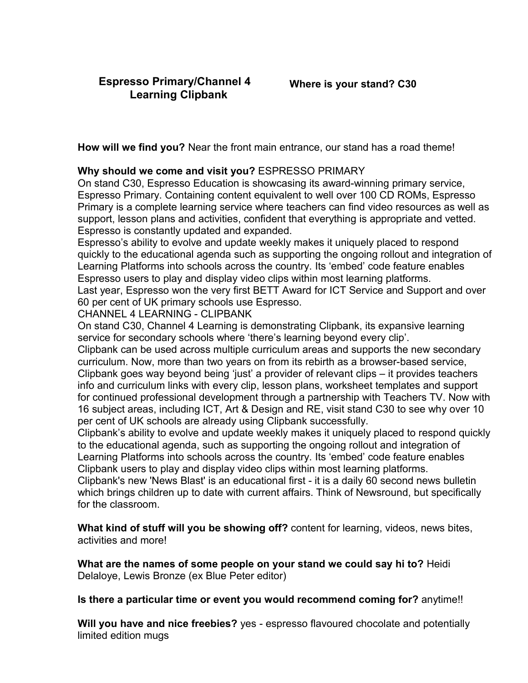<span id="page-9-0"></span>**How will we find you?** Near the front main entrance, our stand has a road theme!

#### **Why should we come and visit you?** ESPRESSO PRIMARY

On stand C30, Espresso Education is showcasing its award-winning primary service, Espresso Primary. Containing content equivalent to well over 100 CD ROMs, Espresso Primary is a complete learning service where teachers can find video resources as well as support, lesson plans and activities, confident that everything is appropriate and vetted. Espresso is constantly updated and expanded.

Espresso's ability to evolve and update weekly makes it uniquely placed to respond quickly to the educational agenda such as supporting the ongoing rollout and integration of Learning Platforms into schools across the country. Its 'embed' code feature enables Espresso users to play and display video clips within most learning platforms.

Last year, Espresso won the very first BETT Award for ICT Service and Support and over 60 per cent of UK primary schools use Espresso.

#### CHANNEL 4 LEARNING - CLIPBANK

On stand C30, Channel 4 Learning is demonstrating Clipbank, its expansive learning service for secondary schools where 'there's learning beyond every clip'.

Clipbank can be used across multiple curriculum areas and supports the new secondary curriculum. Now, more than two years on from its rebirth as a browser-based service, Clipbank goes way beyond being 'just' a provider of relevant clips – it provides teachers info and curriculum links with every clip, lesson plans, worksheet templates and support for continued professional development through a partnership with Teachers TV. Now with 16 subject areas, including ICT, Art & Design and RE, visit stand C30 to see why over 10 per cent of UK schools are already using Clipbank successfully.

Clipbank's ability to evolve and update weekly makes it uniquely placed to respond quickly to the educational agenda, such as supporting the ongoing rollout and integration of Learning Platforms into schools across the country. Its 'embed' code feature enables Clipbank users to play and display video clips within most learning platforms.

Clipbank's new 'News Blast' is an educational first - it is a daily 60 second news bulletin which brings children up to date with current affairs. Think of Newsround, but specifically for the classroom.

**What kind of stuff will you be showing off?** content for learning, videos, news bites, activities and more!

**What are the names of some people on your stand we could say hi to?** Heidi Delaloye, Lewis Bronze (ex Blue Peter editor)

**Is there a particular time or event you would recommend coming for?** anytime!!

**Will you have and nice freebies?** yes - espresso flavoured chocolate and potentially limited edition mugs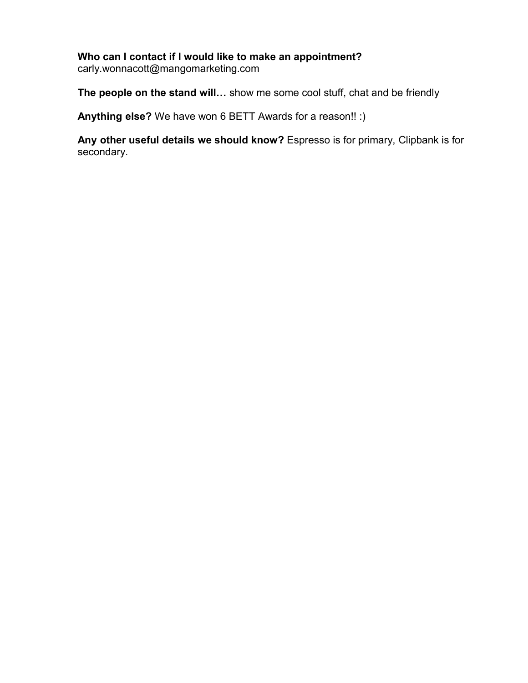# **Who can I contact if I would like to make an appointment?**

carly.wonnacott@mangomarketing.com

**The people on the stand will…** show me some cool stuff, chat and be friendly

**Anything else?** We have won 6 BETT Awards for a reason!! :)

**Any other useful details we should know?** Espresso is for primary, Clipbank is for secondary.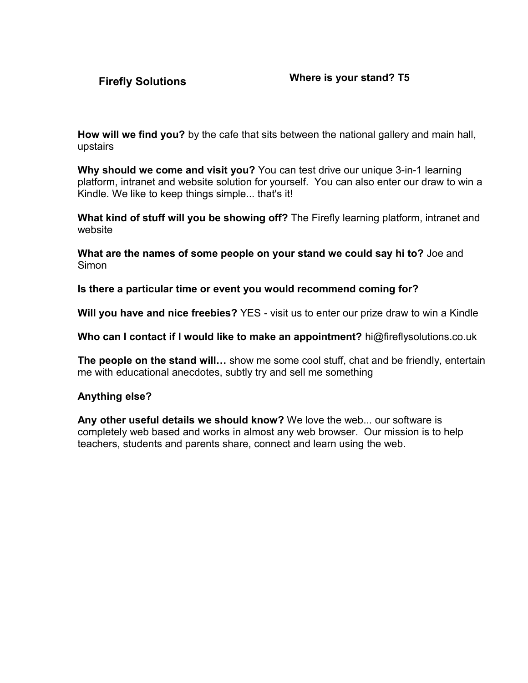<span id="page-11-0"></span>**How will we find you?** by the cafe that sits between the national gallery and main hall, upstairs

**Why should we come and visit you?** You can test drive our unique 3-in-1 learning platform, intranet and website solution for yourself. You can also enter our draw to win a Kindle. We like to keep things simple... that's it!

**What kind of stuff will you be showing off?** The Firefly learning platform, intranet and website

**What are the names of some people on your stand we could say hi to?** Joe and **Simon** 

**Is there a particular time or event you would recommend coming for?**

**Will you have and nice freebies?** YES - visit us to enter our prize draw to win a Kindle

**Who can I contact if I would like to make an appointment?** hi@fireflysolutions.co.uk

**The people on the stand will…** show me some cool stuff, chat and be friendly, entertain me with educational anecdotes, subtly try and sell me something

# **Anything else?**

**Any other useful details we should know?** We love the web... our software is completely web based and works in almost any web browser. Our mission is to help teachers, students and parents share, connect and learn using the web.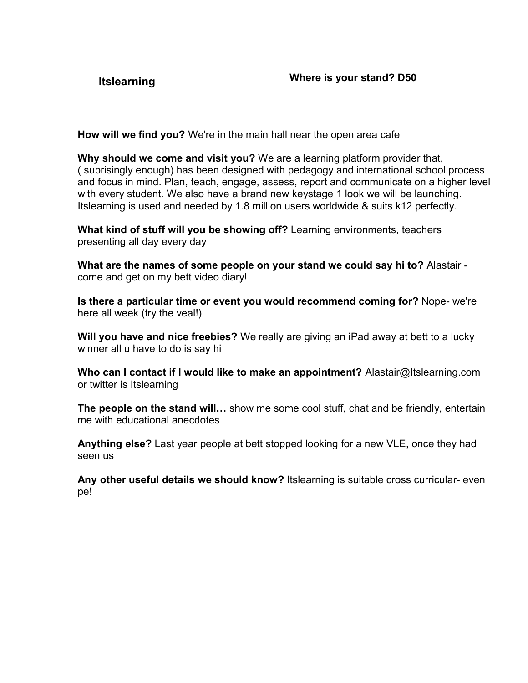<span id="page-12-0"></span>

**How will we find you?** We're in the main hall near the open area cafe

**Why should we come and visit you?** We are a learning platform provider that, ( suprisingly enough) has been designed with pedagogy and international school process and focus in mind. Plan, teach, engage, assess, report and communicate on a higher level with every student. We also have a brand new keystage 1 look we will be launching. Itslearning is used and needed by 1.8 million users worldwide & suits k12 perfectly.

**What kind of stuff will you be showing off?** Learning environments, teachers presenting all day every day

**What are the names of some people on your stand we could say hi to?** Alastair come and get on my bett video diary!

**Is there a particular time or event you would recommend coming for?** Nope- we're here all week (try the veal!)

**Will you have and nice freebies?** We really are giving an iPad away at bett to a lucky winner all u have to do is say hi

**Who can I contact if I would like to make an appointment?** Alastair@Itslearning.com or twitter is Itslearning

**The people on the stand will…** show me some cool stuff, chat and be friendly, entertain me with educational anecdotes

**Anything else?** Last year people at bett stopped looking for a new VLE, once they had seen us

**Any other useful details we should know?** Itslearning is suitable cross curricular- even pe!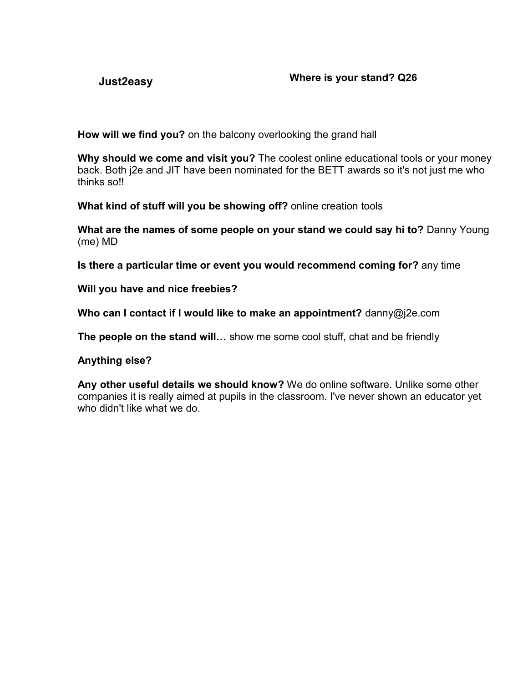<span id="page-13-0"></span>

**How will we find you?** on the balcony overlooking the grand hall

**Why should we come and visit you?** The coolest online educational tools or your money back. Both j2e and JIT have been nominated for the BETT awards so it's not just me who thinks so!!

**What kind of stuff will you be showing off?** online creation tools

**What are the names of some people on your stand we could say hi to?** Danny Young (me) MD

**Is there a particular time or event you would recommend coming for?** any time

**Will you have and nice freebies?**

**Who can I contact if I would like to make an appointment?** danny@j2e.com

**The people on the stand will…** show me some cool stuff, chat and be friendly

**Anything else?**

**Any other useful details we should know?** We do online software. Unlike some other companies it is really aimed at pupils in the classroom. I've never shown an educator yet who didn't like what we do.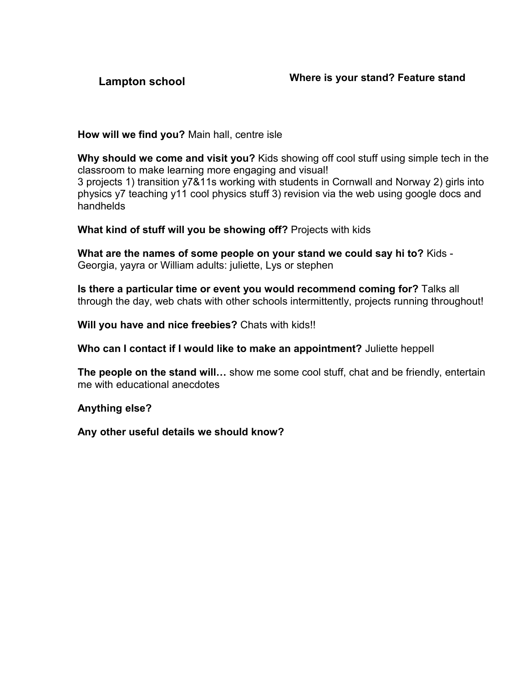<span id="page-14-0"></span>

**How will we find you?** Main hall, centre isle

**Why should we come and visit you?** Kids showing off cool stuff using simple tech in the classroom to make learning more engaging and visual! 3 projects 1) transition y7&11s working with students in Cornwall and Norway 2) girls into physics y7 teaching y11 cool physics stuff 3) revision via the web using google docs and handhelds

**What kind of stuff will you be showing off?** Projects with kids

**What are the names of some people on your stand we could say hi to?** Kids - Georgia, yayra or William adults: juliette, Lys or stephen

**Is there a particular time or event you would recommend coming for?** Talks all through the day, web chats with other schools intermittently, projects running throughout!

**Will you have and nice freebies?** Chats with kids!!

**Who can I contact if I would like to make an appointment?** Juliette heppell

**The people on the stand will…** show me some cool stuff, chat and be friendly, entertain me with educational anecdotes

**Anything else?**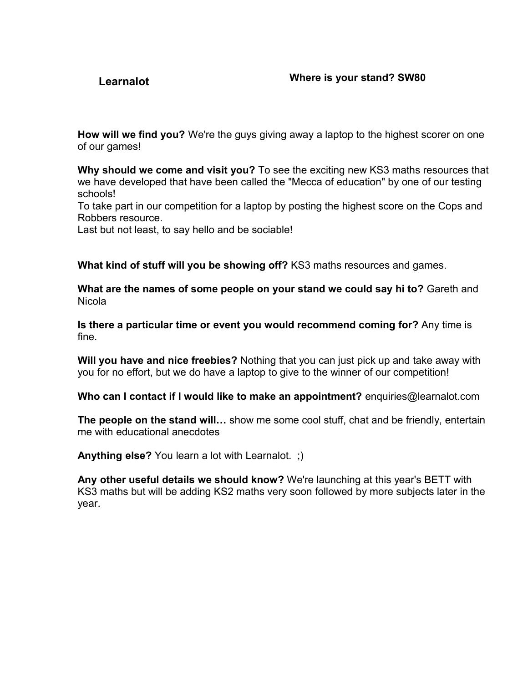# <span id="page-15-0"></span>**Learnalot Where is your stand? SW80**

**How will we find you?** We're the guys giving away a laptop to the highest scorer on one of our games!

**Why should we come and visit you?** To see the exciting new KS3 maths resources that we have developed that have been called the "Mecca of education" by one of our testing schools!

To take part in our competition for a laptop by posting the highest score on the Cops and Robbers resource.

Last but not least, to say hello and be sociable!

**What kind of stuff will you be showing off?** KS3 maths resources and games.

**What are the names of some people on your stand we could say hi to?** Gareth and Nicola

**Is there a particular time or event you would recommend coming for?** Any time is fine.

**Will you have and nice freebies?** Nothing that you can just pick up and take away with you for no effort, but we do have a laptop to give to the winner of our competition!

**Who can I contact if I would like to make an appointment?** enquiries@learnalot.com

**The people on the stand will…** show me some cool stuff, chat and be friendly, entertain me with educational anecdotes

**Anything else?** You learn a lot with Learnalot. ;)

**Any other useful details we should know?** We're launching at this year's BETT with KS3 maths but will be adding KS2 maths very soon followed by more subjects later in the year.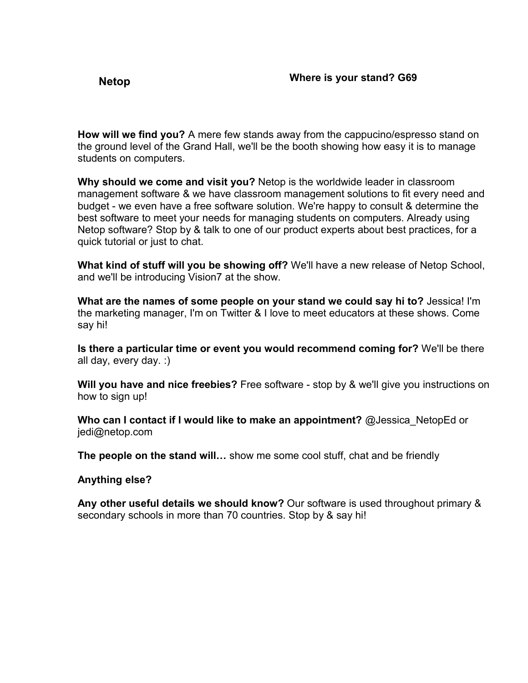<span id="page-16-0"></span>**How will we find you?** A mere few stands away from the cappucino/espresso stand on the ground level of the Grand Hall, we'll be the booth showing how easy it is to manage students on computers.

**Why should we come and visit you?** Netop is the worldwide leader in classroom management software & we have classroom management solutions to fit every need and budget - we even have a free software solution. We're happy to consult & determine the best software to meet your needs for managing students on computers. Already using Netop software? Stop by & talk to one of our product experts about best practices, for a quick tutorial or just to chat.

**What kind of stuff will you be showing off?** We'll have a new release of Netop School, and we'll be introducing Vision7 at the show.

**What are the names of some people on your stand we could say hi to?** Jessica! I'm the marketing manager, I'm on Twitter & I love to meet educators at these shows. Come say hi!

**Is there a particular time or event you would recommend coming for?** We'll be there all day, every day. :)

**Will you have and nice freebies?** Free software - stop by & we'll give you instructions on how to sign up!

**Who can I contact if I would like to make an appointment?** @Jessica\_NetopEd or jedi@netop.com

**The people on the stand will…** show me some cool stuff, chat and be friendly

#### **Anything else?**

**Any other useful details we should know?** Our software is used throughout primary & secondary schools in more than 70 countries. Stop by & say hi!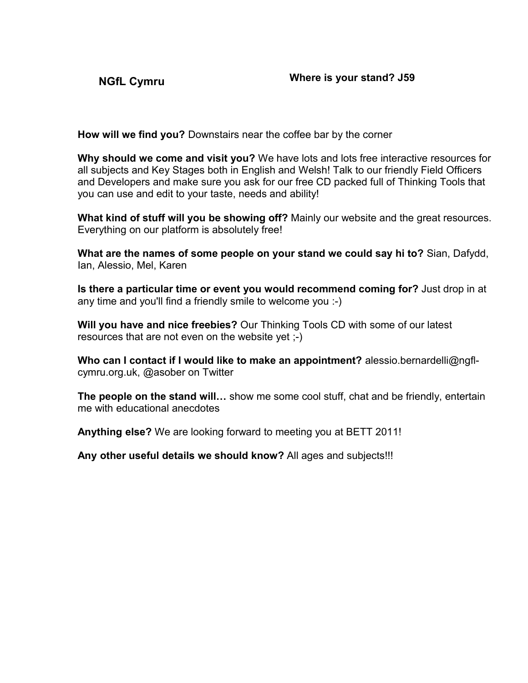<span id="page-17-0"></span>

**How will we find you?** Downstairs near the coffee bar by the corner

**Why should we come and visit you?** We have lots and lots free interactive resources for all subjects and Key Stages both in English and Welsh! Talk to our friendly Field Officers and Developers and make sure you ask for our free CD packed full of Thinking Tools that you can use and edit to your taste, needs and ability!

**What kind of stuff will you be showing off?** Mainly our website and the great resources. Everything on our platform is absolutely free!

**What are the names of some people on your stand we could say hi to?** Sian, Dafydd, Ian, Alessio, Mel, Karen

**Is there a particular time or event you would recommend coming for?** Just drop in at any time and you'll find a friendly smile to welcome you :-)

**Will you have and nice freebies?** Our Thinking Tools CD with some of our latest resources that are not even on the website yet ;-)

**Who can I contact if I would like to make an appointment?** alessio.bernardelli@ngflcymru.org.uk, @asober on Twitter

**The people on the stand will…** show me some cool stuff, chat and be friendly, entertain me with educational anecdotes

**Anything else?** We are looking forward to meeting you at BETT 2011!

**Any other useful details we should know?** All ages and subjects!!!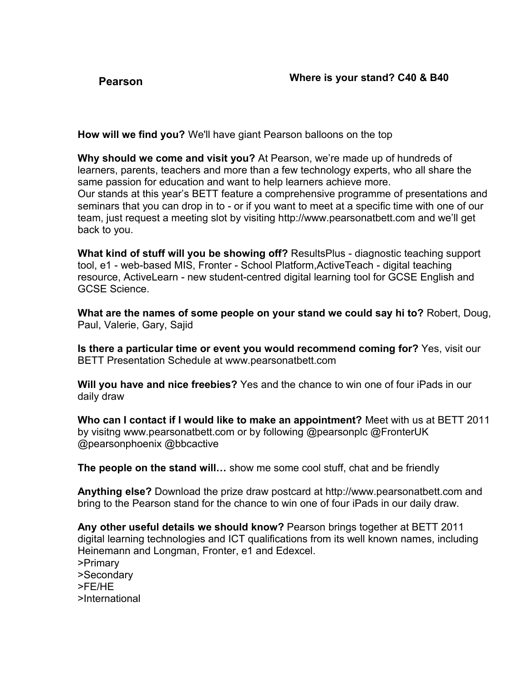<span id="page-18-0"></span>

**How will we find you?** We'll have giant Pearson balloons on the top

**Why should we come and visit you?** At Pearson, we're made up of hundreds of learners, parents, teachers and more than a few technology experts, who all share the same passion for education and want to help learners achieve more. Our stands at this year's BETT feature a comprehensive programme of presentations and seminars that you can drop in to - or if you want to meet at a specific time with one of our team, just request a meeting slot by visiting http://www.pearsonatbett.com and we'll get back to you.

**What kind of stuff will you be showing off?** ResultsPlus - diagnostic teaching support tool, e1 - web-based MIS, Fronter - School Platform,ActiveTeach - digital teaching resource, ActiveLearn - new student-centred digital learning tool for GCSE English and GCSE Science.

**What are the names of some people on your stand we could say hi to?** Robert, Doug, Paul, Valerie, Gary, Sajid

**Is there a particular time or event you would recommend coming for?** Yes, visit our BETT Presentation Schedule at www.pearsonatbett.com

**Will you have and nice freebies?** Yes and the chance to win one of four iPads in our daily draw

**Who can I contact if I would like to make an appointment?** Meet with us at BETT 2011 by visitng www.pearsonatbett.com or by following @pearsonplc @FronterUK @pearsonphoenix @bbcactive

**The people on the stand will…** show me some cool stuff, chat and be friendly

**Anything else?** Download the prize draw postcard at http://www.pearsonatbett.com and bring to the Pearson stand for the chance to win one of four iPads in our daily draw.

**Any other useful details we should know?** Pearson brings together at BETT 2011 digital learning technologies and ICT qualifications from its well known names, including Heinemann and Longman, Fronter, e1 and Edexcel.

>Primary

>Secondary

>FE/HE

>International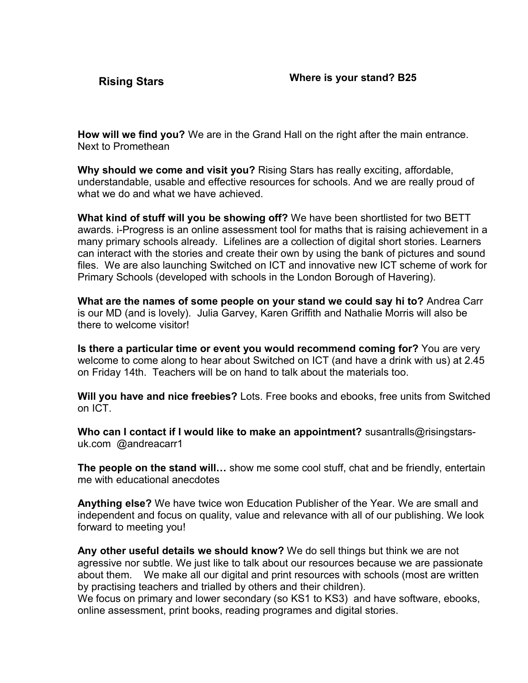<span id="page-19-0"></span>**How will we find you?** We are in the Grand Hall on the right after the main entrance. Next to Promethean

**Why should we come and visit you?** Rising Stars has really exciting, affordable, understandable, usable and effective resources for schools. And we are really proud of what we do and what we have achieved.

**What kind of stuff will you be showing off?** We have been shortlisted for two BETT awards. i-Progress is an online assessment tool for maths that is raising achievement in a many primary schools already. Lifelines are a collection of digital short stories. Learners can interact with the stories and create their own by using the bank of pictures and sound files. We are also launching Switched on ICT and innovative new ICT scheme of work for Primary Schools (developed with schools in the London Borough of Havering).

**What are the names of some people on your stand we could say hi to?** Andrea Carr is our MD (and is lovely). Julia Garvey, Karen Griffith and Nathalie Morris will also be there to welcome visitor!

**Is there a particular time or event you would recommend coming for?** You are very welcome to come along to hear about Switched on ICT (and have a drink with us) at 2.45 on Friday 14th. Teachers will be on hand to talk about the materials too.

**Will you have and nice freebies?** Lots. Free books and ebooks, free units from Switched on ICT.

**Who can I contact if I would like to make an appointment?** susantralls@risingstarsuk.com @andreacarr1

**The people on the stand will…** show me some cool stuff, chat and be friendly, entertain me with educational anecdotes

**Anything else?** We have twice won Education Publisher of the Year. We are small and independent and focus on quality, value and relevance with all of our publishing. We look forward to meeting you!

**Any other useful details we should know?** We do sell things but think we are not agressive nor subtle. We just like to talk about our resources because we are passionate about them. We make all our digital and print resources with schools (most are written by practising teachers and trialled by others and their children).

We focus on primary and lower secondary (so KS1 to KS3) and have software, ebooks, online assessment, print books, reading programes and digital stories.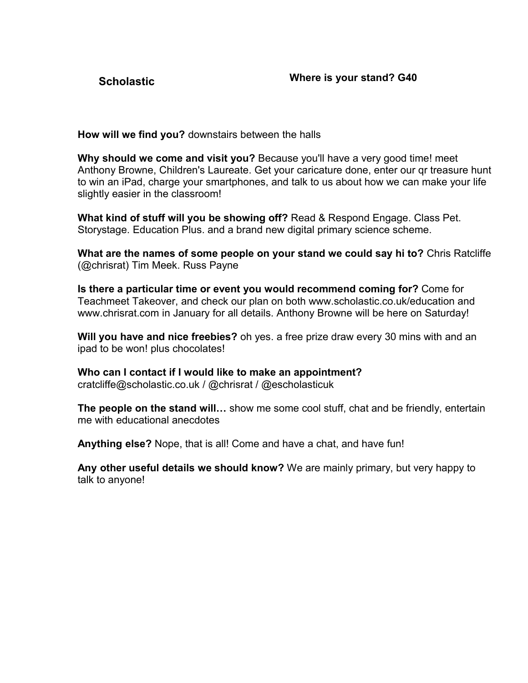<span id="page-20-0"></span>

**How will we find you?** downstairs between the halls

**Why should we come and visit you?** Because you'll have a very good time! meet Anthony Browne, Children's Laureate. Get your caricature done, enter our qr treasure hunt to win an iPad, charge your smartphones, and talk to us about how we can make your life slightly easier in the classroom!

**What kind of stuff will you be showing off?** Read & Respond Engage. Class Pet. Storystage. Education Plus. and a brand new digital primary science scheme.

**What are the names of some people on your stand we could say hi to?** Chris Ratcliffe (@chrisrat) Tim Meek. Russ Payne

**Is there a particular time or event you would recommend coming for?** Come for Teachmeet Takeover, and check our plan on both www.scholastic.co.uk/education and www.chrisrat.com in January for all details. Anthony Browne will be here on Saturday!

**Will you have and nice freebies?** oh yes. a free prize draw every 30 mins with and an ipad to be won! plus chocolates!

**Who can I contact if I would like to make an appointment?** cratcliffe@scholastic.co.uk / @chrisrat / @escholasticuk

**The people on the stand will…** show me some cool stuff, chat and be friendly, entertain me with educational anecdotes

**Anything else?** Nope, that is all! Come and have a chat, and have fun!

**Any other useful details we should know?** We are mainly primary, but very happy to talk to anyone!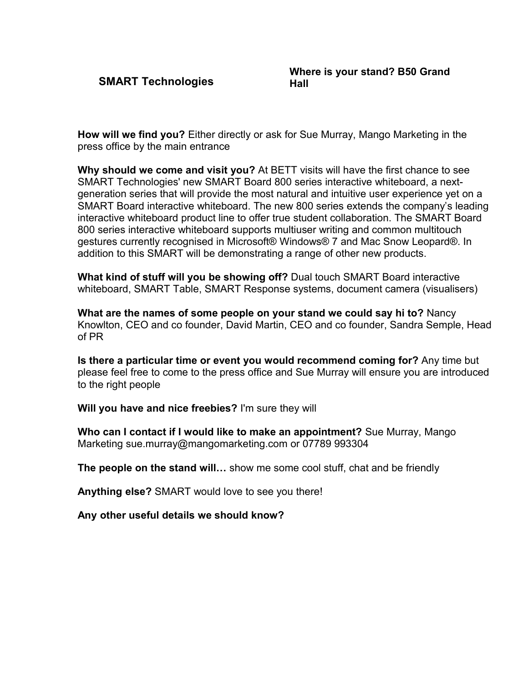<span id="page-21-0"></span>**SMART Technologies**

**How will we find you?** Either directly or ask for Sue Murray, Mango Marketing in the press office by the main entrance

**Why should we come and visit you?** At BETT visits will have the first chance to see SMART Technologies' new SMART Board 800 series interactive whiteboard, a nextgeneration series that will provide the most natural and intuitive user experience yet on a SMART Board interactive whiteboard. The new 800 series extends the company's leading interactive whiteboard product line to offer true student collaboration. The SMART Board 800 series interactive whiteboard supports multiuser writing and common multitouch gestures currently recognised in Microsoft® Windows® 7 and Mac Snow Leopard®. In addition to this SMART will be demonstrating a range of other new products.

**What kind of stuff will you be showing off?** Dual touch SMART Board interactive whiteboard, SMART Table, SMART Response systems, document camera (visualisers)

**What are the names of some people on your stand we could say hi to?** Nancy Knowlton, CEO and co founder, David Martin, CEO and co founder, Sandra Semple, Head of PR

**Is there a particular time or event you would recommend coming for?** Any time but please feel free to come to the press office and Sue Murray will ensure you are introduced to the right people

**Will you have and nice freebies?** I'm sure they will

**Who can I contact if I would like to make an appointment?** Sue Murray, Mango Marketing sue.murray@mangomarketing.com or 07789 993304

**The people on the stand will…** show me some cool stuff, chat and be friendly

**Anything else?** SMART would love to see you there!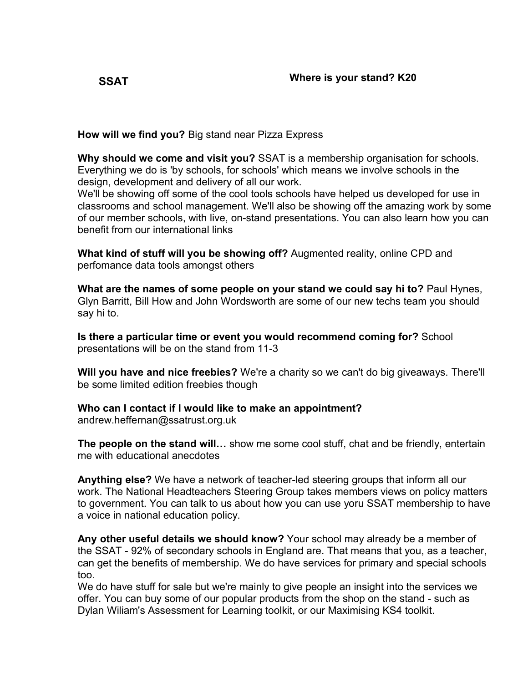<span id="page-22-0"></span>

**How will we find you?** Big stand near Pizza Express

**Why should we come and visit you?** SSAT is a membership organisation for schools. Everything we do is 'by schools, for schools' which means we involve schools in the design, development and delivery of all our work.

We'll be showing off some of the cool tools schools have helped us developed for use in classrooms and school management. We'll also be showing off the amazing work by some of our member schools, with live, on-stand presentations. You can also learn how you can benefit from our international links

**What kind of stuff will you be showing off?** Augmented reality, online CPD and perfomance data tools amongst others

**What are the names of some people on your stand we could say hi to?** Paul Hynes, Glyn Barritt, Bill How and John Wordsworth are some of our new techs team you should say hi to.

**Is there a particular time or event you would recommend coming for?** School presentations will be on the stand from 11-3

**Will you have and nice freebies?** We're a charity so we can't do big giveaways. There'll be some limited edition freebies though

**Who can I contact if I would like to make an appointment?**

andrew.heffernan@ssatrust.org.uk

**The people on the stand will…** show me some cool stuff, chat and be friendly, entertain me with educational anecdotes

**Anything else?** We have a network of teacher-led steering groups that inform all our work. The National Headteachers Steering Group takes members views on policy matters to government. You can talk to us about how you can use yoru SSAT membership to have a voice in national education policy.

**Any other useful details we should know?** Your school may already be a member of the SSAT - 92% of secondary schools in England are. That means that you, as a teacher, can get the benefits of membership. We do have services for primary and special schools too.

We do have stuff for sale but we're mainly to give people an insight into the services we offer. You can buy some of our popular products from the shop on the stand - such as Dylan Wiliam's Assessment for Learning toolkit, or our Maximising KS4 toolkit.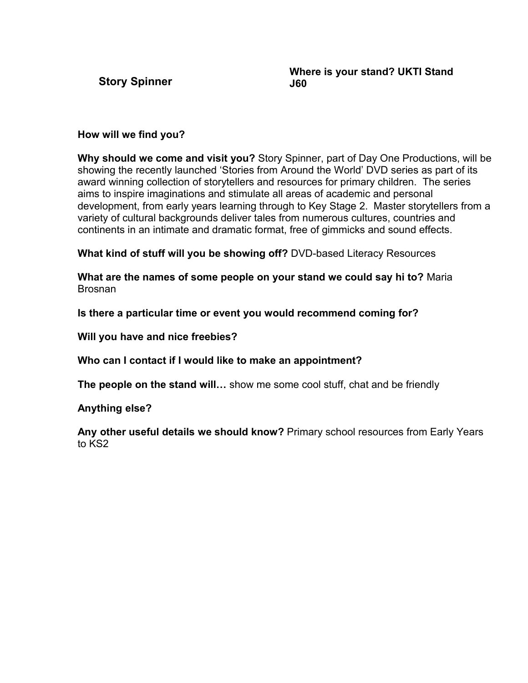<span id="page-23-0"></span>**Story Spinner**

**Where is your stand? UKTI Stand J60**

#### **How will we find you?**

**Why should we come and visit you?** Story Spinner, part of Day One Productions, will be showing the recently launched 'Stories from Around the World' DVD series as part of its award winning collection of storytellers and resources for primary children. The series aims to inspire imaginations and stimulate all areas of academic and personal development, from early years learning through to Key Stage 2. Master storytellers from a variety of cultural backgrounds deliver tales from numerous cultures, countries and continents in an intimate and dramatic format, free of gimmicks and sound effects.

**What kind of stuff will you be showing off?** DVD-based Literacy Resources

**What are the names of some people on your stand we could say hi to?** Maria Brosnan

**Is there a particular time or event you would recommend coming for?**

**Will you have and nice freebies?**

**Who can I contact if I would like to make an appointment?**

**The people on the stand will…** show me some cool stuff, chat and be friendly

# **Anything else?**

**Any other useful details we should know?** Primary school resources from Early Years to KS2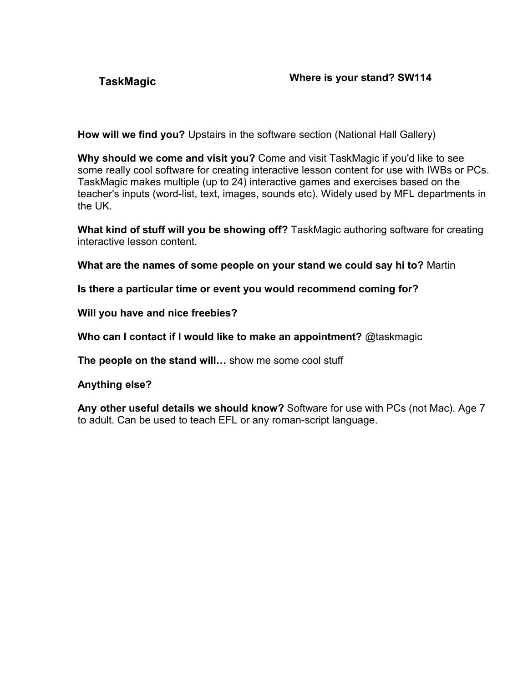<span id="page-24-0"></span>

**How will we find you?** Upstairs in the software section (National Hall Gallery)

**Why should we come and visit you?** Come and visit TaskMagic if you'd like to see some really cool software for creating interactive lesson content for use with IWBs or PCs. TaskMagic makes multiple (up to 24) interactive games and exercises based on the teacher's inputs (word-list, text, images, sounds etc). Widely used by MFL departments in the UK.

**What kind of stuff will you be showing off?** TaskMagic authoring software for creating interactive lesson content.

**What are the names of some people on your stand we could say hi to?** Martin

**Is there a particular time or event you would recommend coming for?**

**Will you have and nice freebies?**

**Who can I contact if I would like to make an appointment?** @taskmagic

**The people on the stand will…** show me some cool stuff

**Anything else?**

**Any other useful details we should know?** Software for use with PCs (not Mac). Age 7 to adult. Can be used to teach EFL or any roman-script language.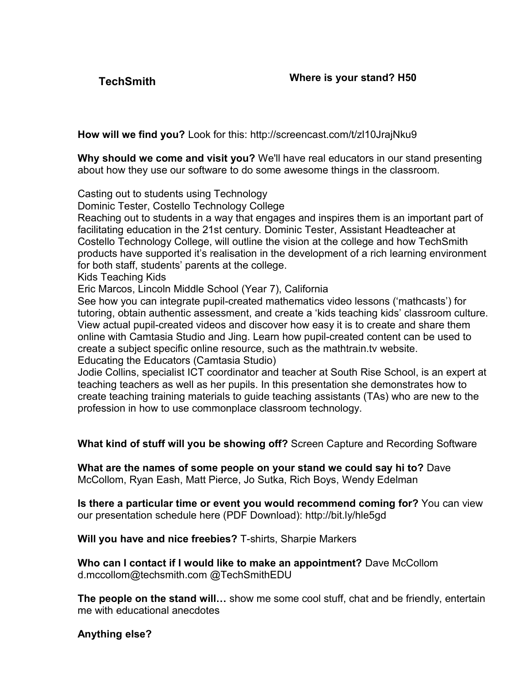<span id="page-25-0"></span>

**How will we find you?** Look for this: http://screencast.com/t/zl10JrajNku9

**Why should we come and visit you?** We'll have real educators in our stand presenting about how they use our software to do some awesome things in the classroom.

Casting out to students using Technology

Dominic Tester, Costello Technology College

Reaching out to students in a way that engages and inspires them is an important part of facilitating education in the 21st century. Dominic Tester, Assistant Headteacher at Costello Technology College, will outline the vision at the college and how TechSmith products have supported it's realisation in the development of a rich learning environment for both staff, students' parents at the college.

Kids Teaching Kids

Eric Marcos, Lincoln Middle School (Year 7), California

See how you can integrate pupil-created mathematics video lessons ('mathcasts') for tutoring, obtain authentic assessment, and create a 'kids teaching kids' classroom culture. View actual pupil-created videos and discover how easy it is to create and share them online with Camtasia Studio and Jing. Learn how pupil-created content can be used to create a subject specific online resource, such as the mathtrain.tv website. Educating the Educators (Camtasia Studio)

Jodie Collins, specialist ICT coordinator and teacher at South Rise School, is an expert at teaching teachers as well as her pupils. In this presentation she demonstrates how to create teaching training materials to guide teaching assistants (TAs) who are new to the profession in how to use commonplace classroom technology.

**What kind of stuff will you be showing off?** Screen Capture and Recording Software

**What are the names of some people on your stand we could say hi to?** Dave McCollom, Ryan Eash, Matt Pierce, Jo Sutka, Rich Boys, Wendy Edelman

**Is there a particular time or event you would recommend coming for?** You can view our presentation schedule here (PDF Download): http://bit.ly/hle5gd

**Will you have and nice freebies?** T-shirts, Sharpie Markers

**Who can I contact if I would like to make an appointment?** Dave McCollom d.mccollom@techsmith.com @TechSmithEDU

**The people on the stand will…** show me some cool stuff, chat and be friendly, entertain me with educational anecdotes

**Anything else?**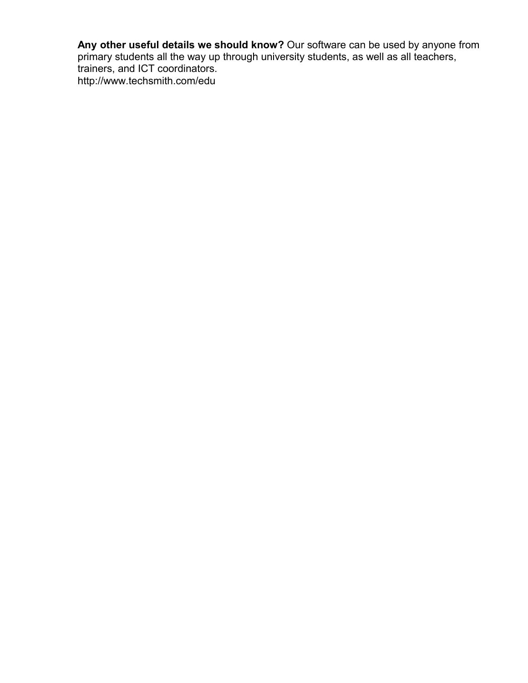**Any other useful details we should know?** Our software can be used by anyone from primary students all the way up through university students, as well as all teachers, trainers, and ICT coordinators. http://www.techsmith.com/edu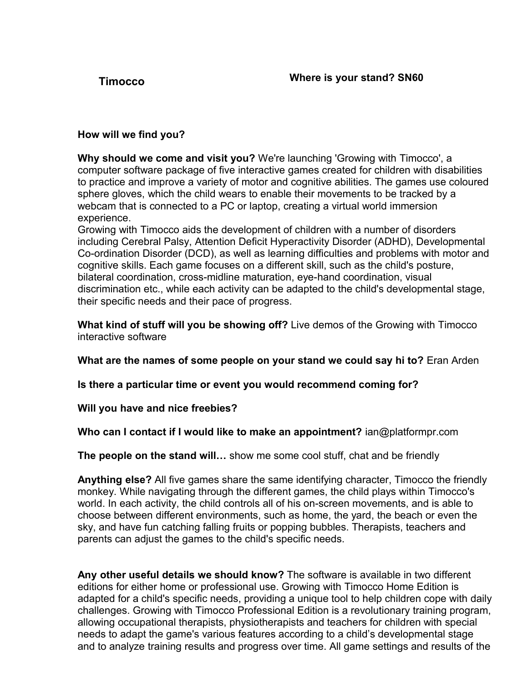# <span id="page-27-0"></span>**How will we find you?**

**Why should we come and visit you?** We're launching 'Growing with Timocco', a computer software package of five interactive games created for children with disabilities to practice and improve a variety of motor and cognitive abilities. The games use coloured sphere gloves, which the child wears to enable their movements to be tracked by a webcam that is connected to a PC or laptop, creating a virtual world immersion experience.

Growing with Timocco aids the development of children with a number of disorders including Cerebral Palsy, Attention Deficit Hyperactivity Disorder (ADHD), Developmental Co-ordination Disorder (DCD), as well as learning difficulties and problems with motor and cognitive skills. Each game focuses on a different skill, such as the child's posture, bilateral coordination, cross-midline maturation, eye-hand coordination, visual discrimination etc., while each activity can be adapted to the child's developmental stage, their specific needs and their pace of progress.

**What kind of stuff will you be showing off?** Live demos of the Growing with Timocco interactive software

**What are the names of some people on your stand we could say hi to?** Eran Arden

**Is there a particular time or event you would recommend coming for?**

**Will you have and nice freebies?**

# **Who can I contact if I would like to make an appointment?** ian@platformpr.com

**The people on the stand will…** show me some cool stuff, chat and be friendly

**Anything else?** All five games share the same identifying character, Timocco the friendly monkey. While navigating through the different games, the child plays within Timocco's world. In each activity, the child controls all of his on-screen movements, and is able to choose between different environments, such as home, the yard, the beach or even the sky, and have fun catching falling fruits or popping bubbles. Therapists, teachers and parents can adjust the games to the child's specific needs.

**Any other useful details we should know?** The software is available in two different editions for either home or professional use. Growing with Timocco Home Edition is adapted for a child's specific needs, providing a unique tool to help children cope with daily challenges. Growing with Timocco Professional Edition is a revolutionary training program, allowing occupational therapists, physiotherapists and teachers for children with special needs to adapt the game's various features according to a child's developmental stage and to analyze training results and progress over time. All game settings and results of the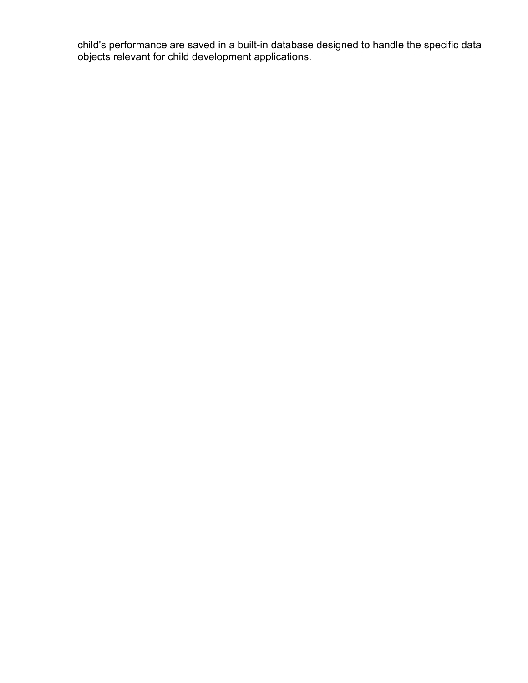child's performance are saved in a built-in database designed to handle the specific data objects relevant for child development applications.